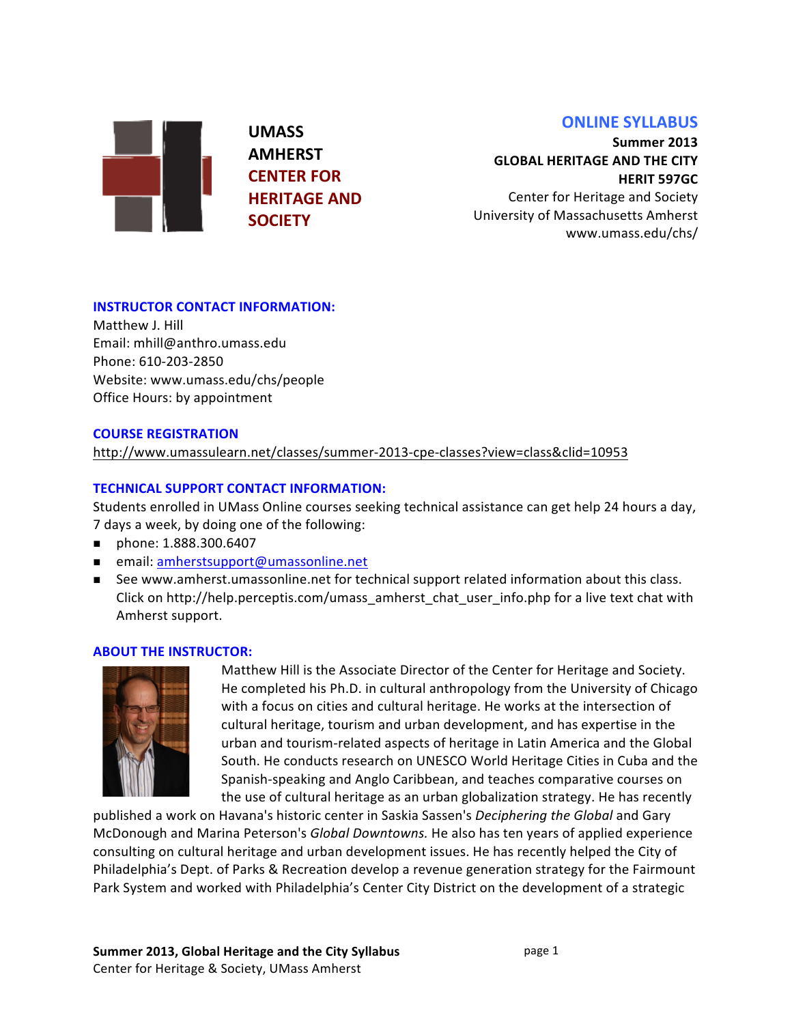# **ONLINE SYLLABUS**

**UMASS& AMHERST& CENTER FOR HERITAGE&AND& SOCIETY**

**Summer&2013& GLOBAL HERITAGE AND THE CITY HERIT 597GC** 

Center for Heritage and Society University of Massachusetts Amherst www.umass.edu/chs/&

## **INSTRUCTOR CONTACT INFORMATION:**

Matthew J. Hill Email: mhill@anthro.umass.edu Phone: 610-203-2850 Website: www.umass.edu/chs/people Office Hours: by appointment

### **COURSE REGISTRATION**

http://www.umassulearn.net/classes/summer-2013-cpe-classes?view=class&clid=10953

## **TECHNICAL SUPPORT CONTACT INFORMATION:**

Students enrolled in UMass Online courses seeking technical assistance can get help 24 hours a day, 7 days a week, by doing one of the following:

- phone: 1.888.300.6407
- **EXECUTE:** email: amherstsupport@umassonline.net
- **E** See www.amherst.umassonline.net for technical support related information about this class. Click on http://help.perceptis.com/umass\_amherst\_chat\_user\_info.php for a live text chat with Amherst support.

### **ABOUT THE INSTRUCTOR:**



Matthew Hill is the Associate Director of the Center for Heritage and Society. He completed his Ph.D. in cultural anthropology from the University of Chicago with a focus on cities and cultural heritage. He works at the intersection of cultural heritage, tourism and urban development, and has expertise in the urban and tourism-related aspects of heritage in Latin America and the Global South. He conducts research on UNESCO World Heritage Cities in Cuba and the Spanish-speaking and Anglo Caribbean, and teaches comparative courses on the use of cultural heritage as an urban globalization strategy. He has recently

published a work on Havana's historic center in Saskia Sassen's *Deciphering the Global* and Gary McDonough and Marina Peterson's Global Downtowns. He also has ten years of applied experience consulting on cultural heritage and urban development issues. He has recently helped the City of Philadelphia's Dept. of Parks & Recreation develop a revenue generation strategy for the Fairmount Park System and worked with Philadelphia's Center City District on the development of a strategic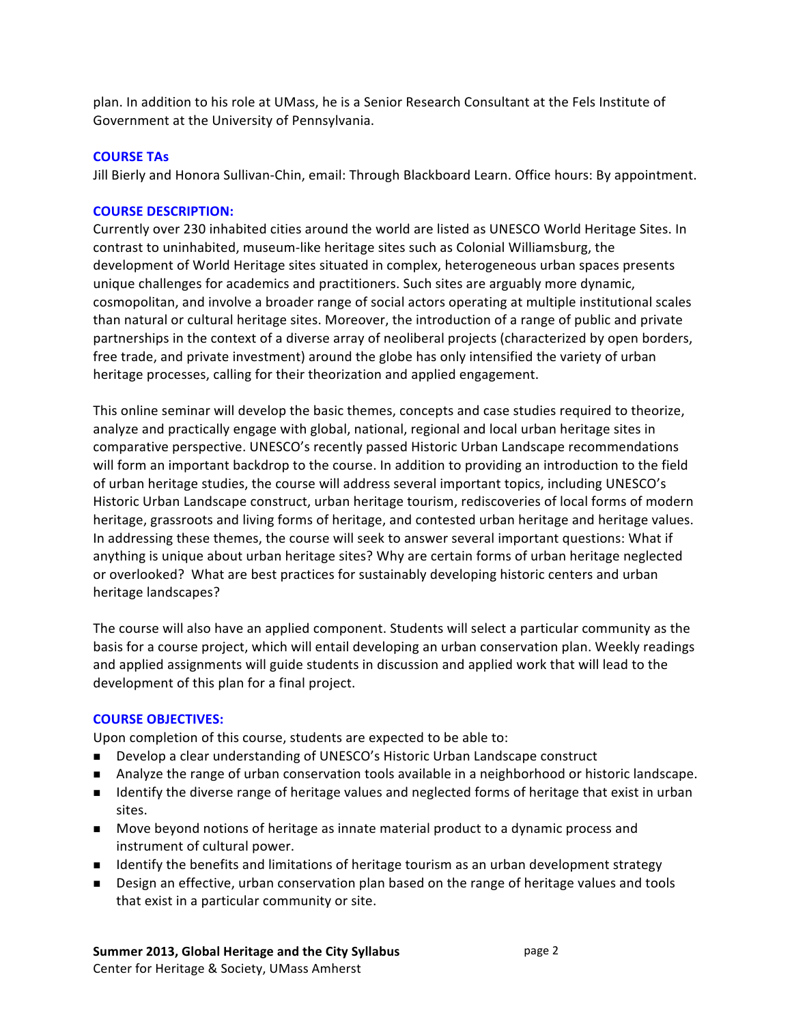plan. In addition to his role at UMass, he is a Senior Research Consultant at the Fels Institute of Government at the University of Pennsylvania.

### **COURSE TAS**

Jill Bierly and Honora Sullivan-Chin, email: Through Blackboard Learn. Office hours: By appointment.

### **COURSE DESCRIPTION:**

Currently over 230 inhabited cities around the world are listed as UNESCO World Heritage Sites. In contrast to uninhabited, museum-like heritage sites such as Colonial Williamsburg, the development of World Heritage sites situated in complex, heterogeneous urban spaces presents unique challenges for academics and practitioners. Such sites are arguably more dynamic, cosmopolitan, and involve a broader range of social actors operating at multiple institutional scales than natural or cultural heritage sites. Moreover, the introduction of a range of public and private partnerships in the context of a diverse array of neoliberal projects (characterized by open borders, free trade, and private investment) around the globe has only intensified the variety of urban heritage processes, calling for their theorization and applied engagement.

This online seminar will develop the basic themes, concepts and case studies required to theorize, analyze and practically engage with global, national, regional and local urban heritage sites in comparative perspective. UNESCO's recently passed Historic Urban Landscape recommendations will form an important backdrop to the course. In addition to providing an introduction to the field of urban heritage studies, the course will address several important topics, including UNESCO's Historic Urban Landscape construct, urban heritage tourism, rediscoveries of local forms of modern heritage, grassroots and living forms of heritage, and contested urban heritage and heritage values. In addressing these themes, the course will seek to answer several important questions: What if anything is unique about urban heritage sites? Why are certain forms of urban heritage neglected or overlooked? What are best practices for sustainably developing historic centers and urban heritage landscapes?

The course will also have an applied component. Students will select a particular community as the basis for a course project, which will entail developing an urban conservation plan. Weekly readings and applied assignments will guide students in discussion and applied work that will lead to the development of this plan for a final project.

### **COURSE OBJECTIVES:**

Upon completion of this course, students are expected to be able to:

- **. Develop a clear understanding of UNESCO's Historic Urban Landscape construct**
- Analyze the range of urban conservation tools available in a neighborhood or historic landscape.
- **If Identify the diverse range of heritage values and neglected forms of heritage that exist in urban** sites.
- Move beyond notions of heritage as innate material product to a dynamic process and instrument of cultural power.
- **If Identify the benefits and limitations of heritage tourism as an urban development strategy**
- **.** Design an effective, urban conservation plan based on the range of heritage values and tools that exist in a particular community or site.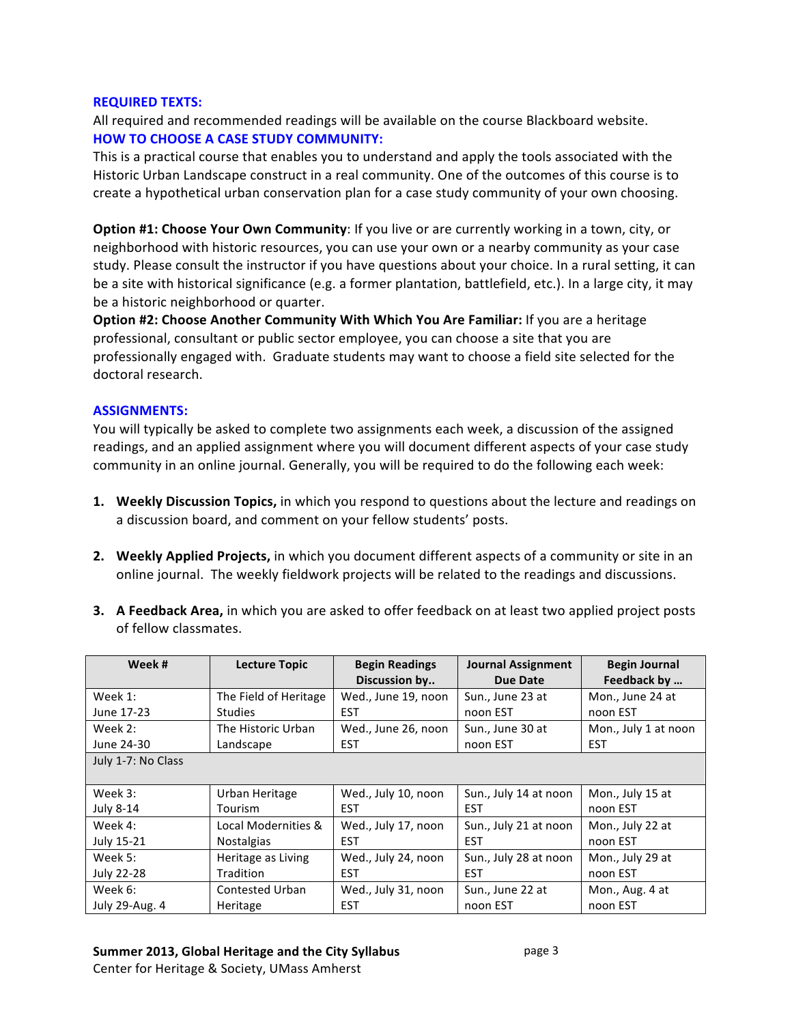### **REQUIRED TEXTS:**

All required and recommended readings will be available on the course Blackboard website. **HOW TO CHOOSE A CASE STUDY COMMUNITY:** 

This is a practical course that enables you to understand and apply the tools associated with the Historic Urban Landscape construct in a real community. One of the outcomes of this course is to create a hypothetical urban conservation plan for a case study community of your own choosing.

**Option #1: Choose Your Own Community:** If you live or are currently working in a town, city, or neighborhood with historic resources, you can use your own or a nearby community as your case study. Please consult the instructor if you have questions about your choice. In a rural setting, it can be a site with historical significance (e.g. a former plantation, battlefield, etc.). In a large city, it may be a historic neighborhood or quarter.

**Option #2: Choose Another Community With Which You Are Familiar: If you are a heritage** professional, consultant or public sector employee, you can choose a site that you are professionally engaged with. Graduate students may want to choose a field site selected for the doctoral research.

### **ASSIGNMENTS:**

You will typically be asked to complete two assignments each week, a discussion of the assigned readings, and an applied assignment where you will document different aspects of your case study community in an online journal. Generally, you will be required to do the following each week:

- **1.** Weekly Discussion Topics, in which you respond to questions about the lecture and readings on a discussion board, and comment on your fellow students' posts.
- **2.** Weekly Applied Projects, in which you document different aspects of a community or site in an online journal. The weekly fieldwork projects will be related to the readings and discussions.
- **3.** A Feedback Area, in which you are asked to offer feedback on at least two applied project posts of fellow classmates.

| Week#              | <b>Lecture Topic</b>  | <b>Begin Readings</b> | <b>Journal Assignment</b> | <b>Begin Journal</b> |
|--------------------|-----------------------|-----------------------|---------------------------|----------------------|
|                    |                       | Discussion by         | Due Date                  | Feedback by          |
| Week 1:            | The Field of Heritage | Wed., June 19, noon   | Sun., June 23 at          | Mon., June 24 at     |
| June 17-23         | <b>Studies</b>        | <b>EST</b>            | noon EST                  | noon EST             |
| Week 2:            | The Historic Urban    | Wed., June 26, noon   | Sun., June 30 at          | Mon., July 1 at noon |
| June 24-30         | Landscape             | <b>EST</b>            | noon EST                  | <b>EST</b>           |
| July 1-7: No Class |                       |                       |                           |                      |
|                    |                       |                       |                           |                      |
| Week 3:            | Urban Heritage        | Wed., July 10, noon   | Sun., July 14 at noon     | Mon., July 15 at     |
| <b>July 8-14</b>   | Tourism               | <b>EST</b>            | <b>EST</b>                | noon EST             |
| Week 4:            | Local Modernities &   | Wed., July 17, noon   | Sun., July 21 at noon     | Mon., July 22 at     |
| July 15-21         | <b>Nostalgias</b>     | <b>EST</b>            | <b>EST</b>                | noon EST             |
| Week 5:            | Heritage as Living    | Wed., July 24, noon   | Sun., July 28 at noon     | Mon., July 29 at     |
| July 22-28         | <b>Tradition</b>      | <b>EST</b>            | <b>EST</b>                | noon EST             |
| Week 6:            | Contested Urban       | Wed., July 31, noon   | Sun., June 22 at          | Mon., Aug. 4 at      |
| July 29-Aug. 4     | Heritage              | <b>EST</b>            | noon EST                  | noon EST             |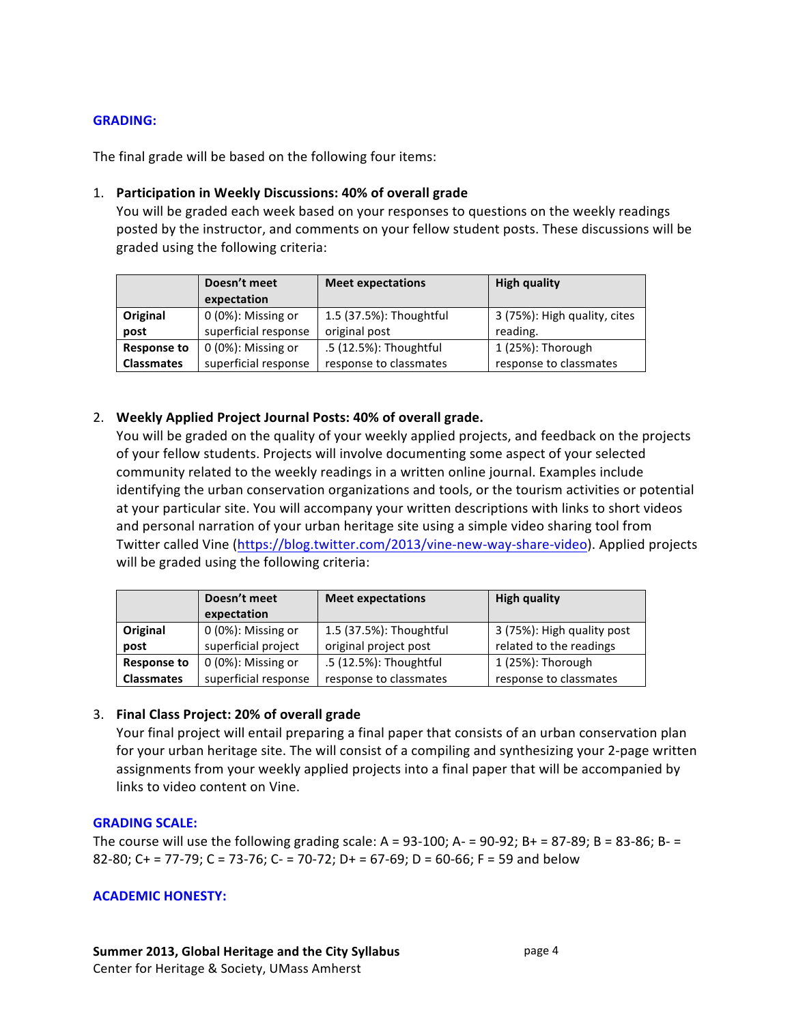## **GRADING:&**

The final grade will be based on the following four items:

#### 1. Participation in Weekly Discussions: 40% of overall grade

You will be graded each week based on your responses to questions on the weekly readings posted by the instructor, and comments on your fellow student posts. These discussions will be graded using the following criteria:

|                    | Doesn't meet<br>expectation | <b>Meet expectations</b> | <b>High quality</b>          |
|--------------------|-----------------------------|--------------------------|------------------------------|
| Original           | 0 (0%): Missing or          | 1.5 (37.5%): Thoughtful  | 3 (75%): High quality, cites |
| post               | superficial response        | original post            | reading.                     |
| <b>Response to</b> | $0(0\%)$ : Missing or       | .5 (12.5%): Thoughtful   | $1(25%)$ : Thorough          |
| <b>Classmates</b>  | superficial response        | response to classmates   | response to classmates       |

### 2. Weekly Applied Project Journal Posts: 40% of overall grade.

You will be graded on the quality of your weekly applied projects, and feedback on the projects of your fellow students. Projects will involve documenting some aspect of your selected community related to the weekly readings in a written online journal. Examples include identifying the urban conservation organizations and tools, or the tourism activities or potential at your particular site. You will accompany your written descriptions with links to short videos and personal narration of your urban heritage site using a simple video sharing tool from Twitter called Vine (https://blog.twitter.com/2013/vine-new-way-share-video). Applied projects will be graded using the following criteria:

|                    | Doesn't meet<br>expectation               | <b>Meet expectations</b>                         | <b>High quality</b>                                   |
|--------------------|-------------------------------------------|--------------------------------------------------|-------------------------------------------------------|
| Original<br>post   | 0 (0%): Missing or<br>superficial project | 1.5 (37.5%): Thoughtful<br>original project post | 3 (75%): High quality post<br>related to the readings |
| <b>Response to</b> | 0 (0%): Missing or                        | .5 (12.5%): Thoughtful                           | 1 (25%): Thorough                                     |
| <b>Classmates</b>  | superficial response                      | response to classmates                           | response to classmates                                |

### 3. **Final Class Project: 20% of overall grade**

Your final project will entail preparing a final paper that consists of an urban conservation plan for your urban heritage site. The will consist of a compiling and synthesizing your 2-page written assignments from your weekly applied projects into a final paper that will be accompanied by links to video content on Vine.

### **GRADING SCALE:**

The course will use the following grading scale:  $A = 93-100$ ;  $A = 90-92$ ;  $B = 87-89$ ;  $B = 83-86$ ;  $B = 83$ 82-80; C + = 77-79; C = 73-76; C- = 70-72; D + = 67-69; D = 60-66; F = 59 and below

#### **ACADEMIC HONESTY:**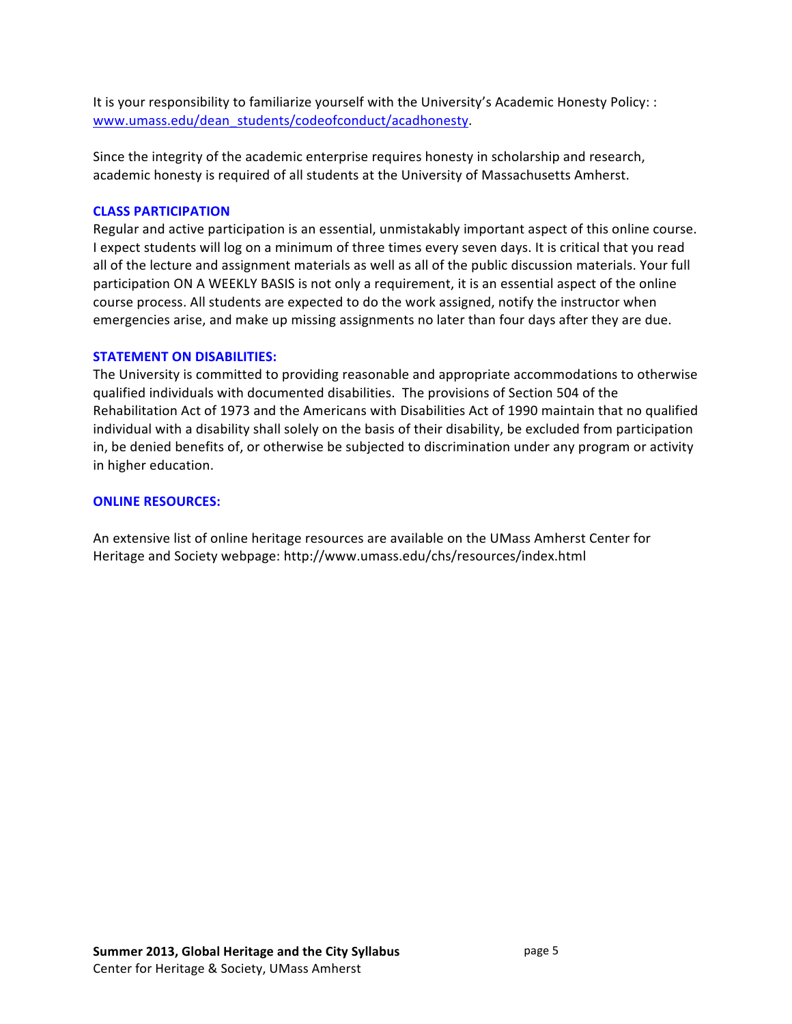It is your responsibility to familiarize yourself with the University's Academic Honesty Policy: : www.umass.edu/dean\_students/codeofconduct/acadhonesty.

Since the integrity of the academic enterprise requires honesty in scholarship and research, academic honesty is required of all students at the University of Massachusetts Amherst.

### **CLASS PARTICIPATION**

Regular and active participation is an essential, unmistakably important aspect of this online course. I expect students will log on a minimum of three times every seven days. It is critical that you read all of the lecture and assignment materials as well as all of the public discussion materials. Your full participation ON A WEEKLY BASIS is not only a requirement, it is an essential aspect of the online course process. All students are expected to do the work assigned, notify the instructor when emergencies arise, and make up missing assignments no later than four days after they are due.

### **STATEMENT ON DISABILITIES:**

The University is committed to providing reasonable and appropriate accommodations to otherwise qualified individuals with documented disabilities. The provisions of Section 504 of the Rehabilitation Act of 1973 and the Americans with Disabilities Act of 1990 maintain that no qualified individual with a disability shall solely on the basis of their disability, be excluded from participation in, be denied benefits of, or otherwise be subjected to discrimination under any program or activity in higher education.

### **ONLINE RESOURCES:**

An extensive list of online heritage resources are available on the UMass Amherst Center for Heritage and Society webpage: http://www.umass.edu/chs/resources/index.html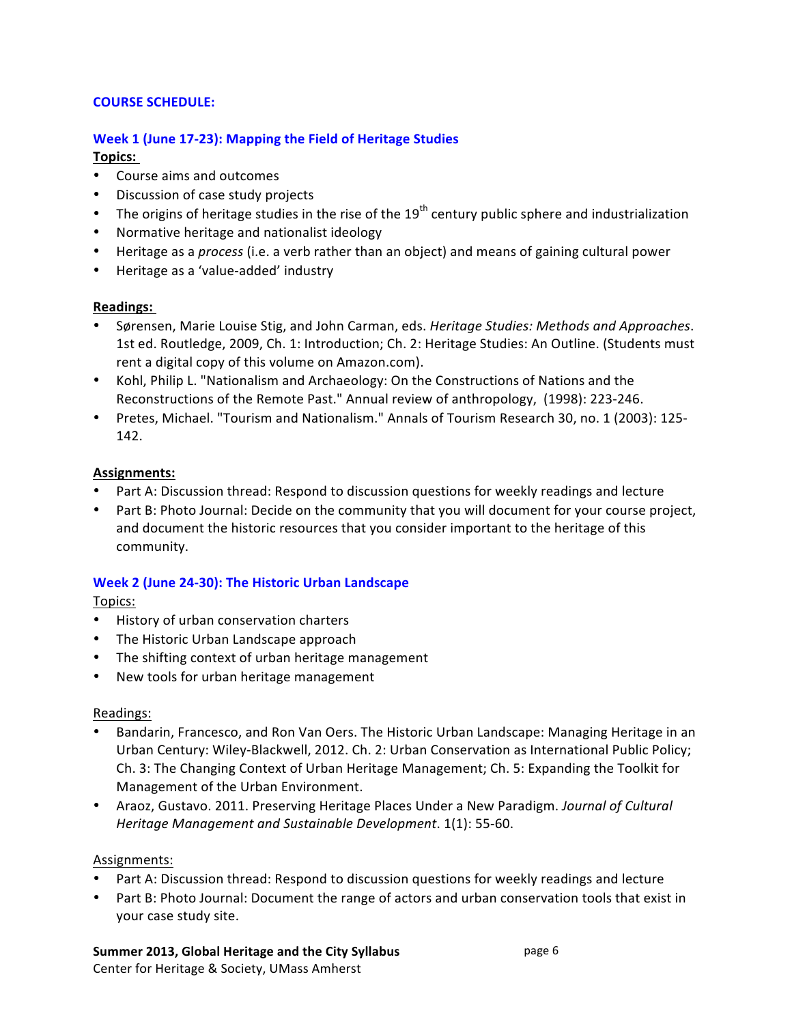## **COURSE SCHEDULE:**

# **Week 1 (June 17-23): Mapping the Field of Heritage Studies**

# **Topics:&**

- Course aims and outcomes
- Discussion of case study projects
- The origins of heritage studies in the rise of the  $19<sup>th</sup>$  century public sphere and industrialization
- Normative heritage and nationalist ideology
- Heritage as a *process* (i.e. a verb rather than an object) and means of gaining cultural power
- Heritage as a 'value-added' industry

# **Readings:&**

- Sørensen, Marie Louise Stig, and John Carman, eds. Heritage Studies: Methods and Approaches. 1st ed. Routledge, 2009, Ch. 1: Introduction; Ch. 2: Heritage Studies: An Outline. (Students must rent a digital copy of this volume on Amazon.com).
- Kohl, Philip L. "Nationalism and Archaeology: On the Constructions of Nations and the Reconstructions of the Remote Past." Annual review of anthropology, (1998): 223-246.
- Pretes, Michael. "Tourism and Nationalism." Annals of Tourism Research 30, no. 1 (2003): 125-142.

# **Assignments:**

- Part A: Discussion thread: Respond to discussion questions for weekly readings and lecture
- Part B: Photo Journal: Decide on the community that you will document for your course project, and document the historic resources that you consider important to the heritage of this community.

# Week 2 (June 24-30): The Historic Urban Landscape

Topics:

- History of urban conservation charters
- The Historic Urban Landscape approach
- The shifting context of urban heritage management
- New tools for urban heritage management

## Readings:

- Bandarin, Francesco, and Ron Van Oers. The Historic Urban Landscape: Managing Heritage in an Urban Century: Wiley-Blackwell, 2012. Ch. 2: Urban Conservation as International Public Policy; Ch. 3: The Changing Context of Urban Heritage Management; Ch. 5: Expanding the Toolkit for Management of the Urban Environment.
- Araoz, Gustavo. 2011. Preserving Heritage Places Under a New Paradigm. *Journal of Cultural Heritage Management and Sustainable Development.* 1(1): 55-60.

## Assignments:

- Part A: Discussion thread: Respond to discussion questions for weekly readings and lecture
- Part B: Photo Journal: Document the range of actors and urban conservation tools that exist in your case study site.

## Summer 2013, Global Heritage and the City Syllabus

Center for Heritage & Society, UMass Amherst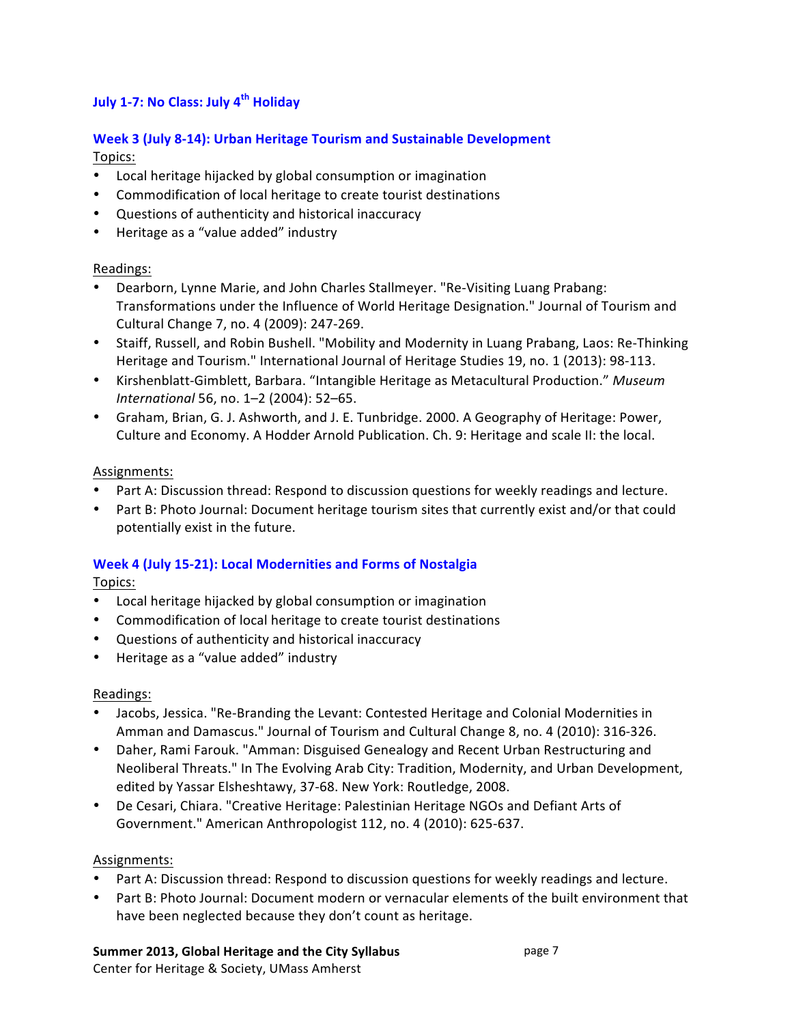# **July&1c7:&No&Class:&July&4th Holiday**

# Week 3 (July 8-14): Urban Heritage Tourism and Sustainable Development Topics:

- Local heritage hijacked by global consumption or imagination
- Commodification of local heritage to create tourist destinations
- Questions of authenticity and historical inaccuracy
- Heritage as a "value added" industry

# Readings:

- Dearborn, Lynne Marie, and John Charles Stallmeyer. "Re-Visiting Luang Prabang: Transformations under the Influence of World Heritage Designation." Journal of Tourism and Cultural Change 7, no. 4 (2009): 247-269.
- Staiff, Russell, and Robin Bushell. "Mobility and Modernity in Luang Prabang, Laos: Re-Thinking Heritage and Tourism." International Journal of Heritage Studies 19, no. 1 (2013): 98-113.
- Kirshenblatt-Gimblett, Barbara. "Intangible Heritage as Metacultural Production." Museum *International* 56, no. 1–2 (2004): 52–65.
- Graham, Brian, G. J. Ashworth, and J. E. Tunbridge. 2000. A Geography of Heritage: Power, Culture and Economy. A Hodder Arnold Publication. Ch. 9: Heritage and scale II: the local.

# Assignments:

- Part A: Discussion thread: Respond to discussion questions for weekly readings and lecture.
- Part B: Photo Journal: Document heritage tourism sites that currently exist and/or that could potentially exist in the future.

# **Week 4 (July 15-21): Local Modernities and Forms of Nostalgia**

Topics:

- Local heritage hijacked by global consumption or imagination
- Commodification of local heritage to create tourist destinations
- Questions of authenticity and historical inaccuracy
- Heritage as a "value added" industry

# Readings:

- Jacobs, Jessica. "Re-Branding the Levant: Contested Heritage and Colonial Modernities in Amman and Damascus." Journal of Tourism and Cultural Change 8, no. 4 (2010): 316-326.
- Daher, Rami Farouk. "Amman: Disguised Genealogy and Recent Urban Restructuring and Neoliberal Threats." In The Evolving Arab City: Tradition, Modernity, and Urban Development, edited by Yassar Elsheshtawy, 37-68. New York: Routledge, 2008.
- De Cesari, Chiara. "Creative Heritage: Palestinian Heritage NGOs and Defiant Arts of Government." American Anthropologist 112, no. 4 (2010): 625-637.

## Assignments:

- Part A: Discussion thread: Respond to discussion questions for weekly readings and lecture.
- Part B: Photo Journal: Document modern or vernacular elements of the built environment that have been neglected because they don't count as heritage.

## Summer 2013, Global Heritage and the City Syllabus

Center for Heritage & Society, UMass Amherst